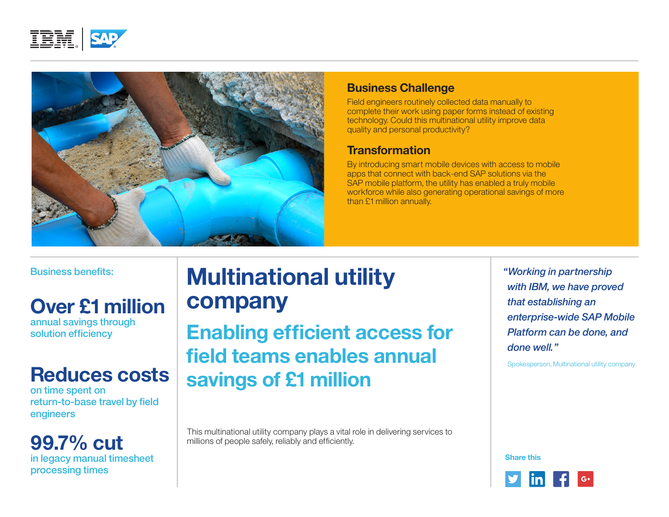



#### **Business Challenge**

Field engineers routinely collected data manually to complete their work using paper forms instead of existing technology. Could this multinational utility improve data quality and personal productivity?

### **Transformation**

By introducing smart mobile devices with access to mobile apps that connect with back-end SAP solutions via the SAP mobile platform, the utility has enabled a truly mobile workforce while also generating operational savings of more than £1 million annually.

Business benefits:

# **Over £1 million**

annual savings through solution efficiency

# **Reduces costs**

on time spent on return-to-base travel by field engineers

**99.7% cut**  in legacy manual timesheet processing times

# **Multinational utility company**

**Enabling efficient access for field teams enables annual savings of £1 million**

This multinational utility company plays a vital role in delivering services to millions of people safely, reliably and efficiently.

*"Working in partnership with IBM, we have proved that establishing an enterprise-wide SAP Mobile Platform can be done, and done well."*

Spokesperson, Multinational utility company

**Share this**

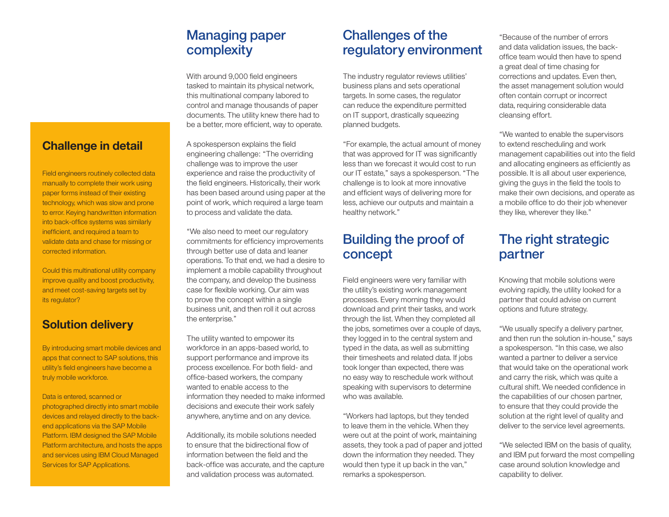# Managing paper complexity

With around 9,000 field engineers tasked to maintain its physical network, this multinational company labored to control and manage thousands of paper documents. The utility knew there had to be a better, more efficient, way to operate.

A spokesperson explains the field engineering challenge: "The overriding challenge was to improve the user experience and raise the productivity of the field engineers. Historically, their work has been based around using paper at the point of work, which required a large team to process and validate the data.

"We also need to meet our regulatory commitments for efficiency improvements through better use of data and leaner operations. To that end, we had a desire to implement a mobile capability throughout the company, and develop the business case for flexible working. Our aim was to prove the concept within a single business unit, and then roll it out across the enterprise."

The utility wanted to empower its workforce in an apps-based world, to support performance and improve its process excellence. For both field- and office-based workers, the company wanted to enable access to the information they needed to make informed decisions and execute their work safely anywhere, anytime and on any device.

Additionally, its mobile solutions needed to ensure that the bidirectional flow of information between the field and the back-office was accurate, and the capture and validation process was automated.

## Challenges of the regulatory environment

The industry regulator reviews utilities' business plans and sets operational targets. In some cases, the regulator can reduce the expenditure permitted on IT support, drastically squeezing planned budgets.

"For example, the actual amount of money that was approved for IT was significantly less than we forecast it would cost to run our IT estate," says a spokesperson. "The challenge is to look at more innovative and efficient ways of delivering more for less, achieve our outputs and maintain a healthy network."

### Building the proof of concept

Field engineers were very familiar with the utility's existing work management processes. Every morning they would download and print their tasks, and work through the list. When they completed all the jobs, sometimes over a couple of days, they logged in to the central system and typed in the data, as well as submitting their timesheets and related data. If jobs took longer than expected, there was no easy way to reschedule work without speaking with supervisors to determine who was available.

"Workers had laptops, but they tended to leave them in the vehicle. When they were out at the point of work, maintaining assets, they took a pad of paper and jotted down the information they needed. They would then type it up back in the van," remarks a spokesperson.

"Because of the number of errors and data validation issues, the backoffice team would then have to spend a great deal of time chasing for corrections and updates. Even then, the asset management solution would often contain corrupt or incorrect data, requiring considerable data cleansing effort.

"We wanted to enable the supervisors to extend rescheduling and work management capabilities out into the field and allocating engineers as efficiently as possible. It is all about user experience, giving the guys in the field the tools to make their own decisions, and operate as a mobile office to do their job whenever they like, wherever they like."

# The right strategic partner

Knowing that mobile solutions were evolving rapidly, the utility looked for a partner that could advise on current options and future strategy.

"We usually specify a delivery partner, and then run the solution in-house," says a spokesperson. "In this case, we also wanted a partner to deliver a service that would take on the operational work and carry the risk, which was quite a cultural shift. We needed confidence in the capabilities of our chosen partner, to ensure that they could provide the solution at the right level of quality and deliver to the service level agreements.

"We selected IBM on the basis of quality, and IBM put forward the most compelling case around solution knowledge and capability to deliver.

#### **Challenge in detail**

Field engineers routinely collected data manually to complete their work using paper forms instead of their existing technology, which was slow and prone to error. Keying handwritten information into back-office systems was similarly inefficient, and required a team to validate data and chase for missing or corrected information.

Could this multinational utility company improve quality and boost productivity, and meet cost-saving targets set by its regulator?

#### **Solution delivery**

By introducing smart mobile devices and apps that connect to SAP solutions, this utility's field engineers have become a truly mobile workforce.

Data is entered, scanned or photographed directly into smart mobile devices and relayed directly to the backend applications via the SAP Mobile Platform. IBM designed the SAP Mobile Platform architecture, and hosts the apps and services using IBM Cloud Managed Services for SAP Applications.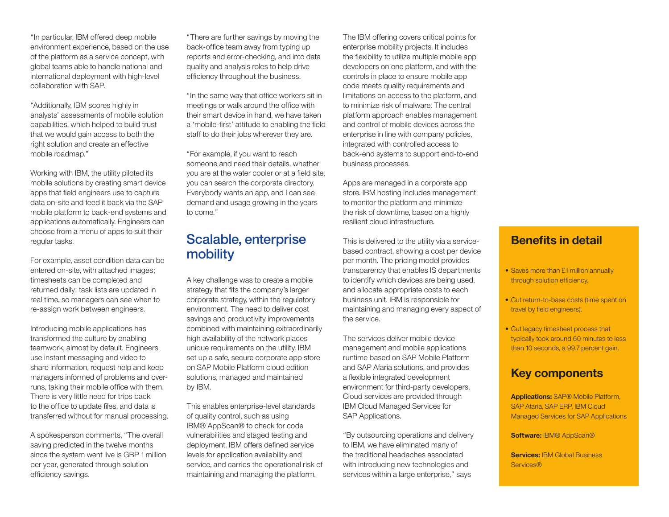"In particular, IBM offered deep mobile environment experience, based on the use of the platform as a service concept, with global teams able to handle national and international deployment with high-level collaboration with SAP.

"Additionally, IBM scores highly in analysts' assessments of mobile solution capabilities, which helped to build trust that we would gain access to both the right solution and create an effective mobile roadmap."

Working with IBM, the utility piloted its mobile solutions by creating smart device apps that field engineers use to capture data on-site and feed it back via the SAP mobile platform to back-end systems and applications automatically. Engineers can choose from a menu of apps to suit their regular tasks.

For example, asset condition data can be entered on-site, with attached images; timesheets can be completed and returned daily; task lists are updated in real time, so managers can see when to re-assign work between engineers.

Introducing mobile applications has transformed the culture by enabling teamwork, almost by default. Engineers use instant messaging and video to share information, request help and keep managers informed of problems and overruns, taking their mobile office with them. There is very little need for trips back to the office to update files, and data is transferred without for manual processing.

A spokesperson comments, "The overall saving predicted in the twelve months since the system went live is GBP 1 million per year, generated through solution efficiency savings.

"There are further savings by moving the back-office team away from typing up reports and error-checking, and into data quality and analysis roles to help drive efficiency throughout the business.

"In the same way that office workers sit in meetings or walk around the office with their smart device in hand, we have taken a 'mobile-first' attitude to enabling the field staff to do their jobs wherever they are.

"For example, if you want to reach someone and need their details, whether you are at the water cooler or at a field site, you can search the corporate directory. Everybody wants an app, and I can see demand and usage growing in the years to come."

### Scalable, enterprise mobility

A key challenge was to create a mobile strategy that fits the company's larger corporate strategy, within the regulatory environment. The need to deliver cost savings and productivity improvements combined with maintaining extraordinarily high availability of the network places unique requirements on the utility. IBM set up a safe, secure corporate app store on SAP Mobile Platform cloud edition solutions, managed and maintained by IBM.

This enables enterprise-level standards of quality control, such as using IBM® AppScan® to check for code vulnerabilities and staged testing and deployment. IBM offers defined service levels for application availability and service, and carries the operational risk of maintaining and managing the platform.

The IBM offering covers critical points for enterprise mobility projects. It includes the flexibility to utilize multiple mobile app developers on one platform, and with the controls in place to ensure mobile app code meets quality requirements and limitations on access to the platform, and to minimize risk of malware. The central platform approach enables management and control of mobile devices across the enterprise in line with company policies, integrated with controlled access to back-end systems to support end-to-end business processes.

Apps are managed in a corporate app store. IBM hosting includes management to monitor the platform and minimize the risk of downtime, based on a highly resilient cloud infrastructure.

This is delivered to the utility via a servicebased contract, showing a cost per device per month. The pricing model provides transparency that enables IS departments to identify which devices are being used, and allocate appropriate costs to each business unit. IBM is responsible for maintaining and managing every aspect of the service.

The services deliver mobile device management and mobile applications runtime based on SAP Mobile Platform and SAP Afaria solutions, and provides a flexible integrated development environment for third-party developers. Cloud services are provided through IBM Cloud Managed Services for SAP Applications.

"By outsourcing operations and delivery to IBM, we have eliminated many of the traditional headaches associated with introducing new technologies and services within a large enterprise," says

#### **Benefits in detail**

- Saves more than £1 million annually through solution efficiency.
- Cut return-to-base costs (time spent on travel by field engineers).
- Cut legacy timesheet process that typically took around 60 minutes to less than 10 seconds, a 99.7 percent gain.

#### **Key components**

**Applications:** SAP® Mobile Platform, SAP Afaria, SAP ERP, IBM Cloud Managed Services for SAP Applications

**Software:** IBM® AppScan®

**Services: IBM Global Business** Services®